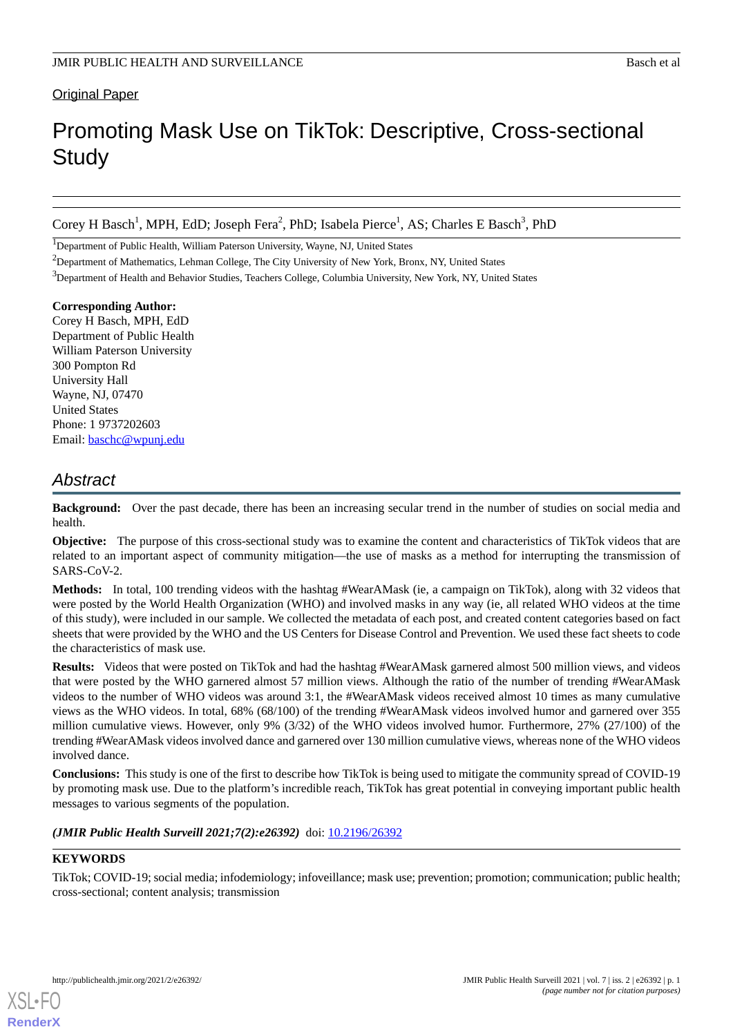### Original Paper

# Promoting Mask Use on TikTok: Descriptive, Cross-sectional **Study**

Corey H Basch<sup>1</sup>, MPH, EdD; Joseph Fera<sup>2</sup>, PhD; Isabela Pierce<sup>1</sup>, AS; Charles E Basch<sup>3</sup>, PhD

<sup>1</sup>Department of Public Health, William Paterson University, Wayne, NJ, United States

<sup>2</sup>Department of Mathematics, Lehman College, The City University of New York, Bronx, NY, United States

<sup>3</sup>Department of Health and Behavior Studies, Teachers College, Columbia University, New York, NY, United States

### **Corresponding Author:**

Corey H Basch, MPH, EdD Department of Public Health William Paterson University 300 Pompton Rd University Hall Wayne, NJ, 07470 United States Phone: 1 9737202603 Email: [baschc@wpunj.edu](mailto:baschc@wpunj.edu)

# *Abstract*

**Background:** Over the past decade, there has been an increasing secular trend in the number of studies on social media and health.

**Objective:** The purpose of this cross-sectional study was to examine the content and characteristics of TikTok videos that are related to an important aspect of community mitigation—the use of masks as a method for interrupting the transmission of SARS-CoV-2.

**Methods:** In total, 100 trending videos with the hashtag #WearAMask (ie, a campaign on TikTok), along with 32 videos that were posted by the World Health Organization (WHO) and involved masks in any way (ie, all related WHO videos at the time of this study), were included in our sample. We collected the metadata of each post, and created content categories based on fact sheets that were provided by the WHO and the US Centers for Disease Control and Prevention. We used these fact sheets to code the characteristics of mask use.

**Results:** Videos that were posted on TikTok and had the hashtag #WearAMask garnered almost 500 million views, and videos that were posted by the WHO garnered almost 57 million views. Although the ratio of the number of trending #WearAMask videos to the number of WHO videos was around 3:1, the #WearAMask videos received almost 10 times as many cumulative views as the WHO videos. In total, 68% (68/100) of the trending #WearAMask videos involved humor and garnered over 355 million cumulative views. However, only 9% (3/32) of the WHO videos involved humor. Furthermore, 27% (27/100) of the trending #WearAMask videos involved dance and garnered over 130 million cumulative views, whereas none of the WHO videos involved dance.

**Conclusions:** This study is one of the first to describe how TikTok is being used to mitigate the community spread of COVID-19 by promoting mask use. Due to the platform's incredible reach, TikTok has great potential in conveying important public health messages to various segments of the population.

### *(JMIR Public Health Surveill 2021;7(2):e26392)* doi: [10.2196/26392](http://dx.doi.org/10.2196/26392)

### **KEYWORDS**

[XSL](http://www.w3.org/Style/XSL)•FO **[RenderX](http://www.renderx.com/)**

TikTok; COVID-19; social media; infodemiology; infoveillance; mask use; prevention; promotion; communication; public health; cross-sectional; content analysis; transmission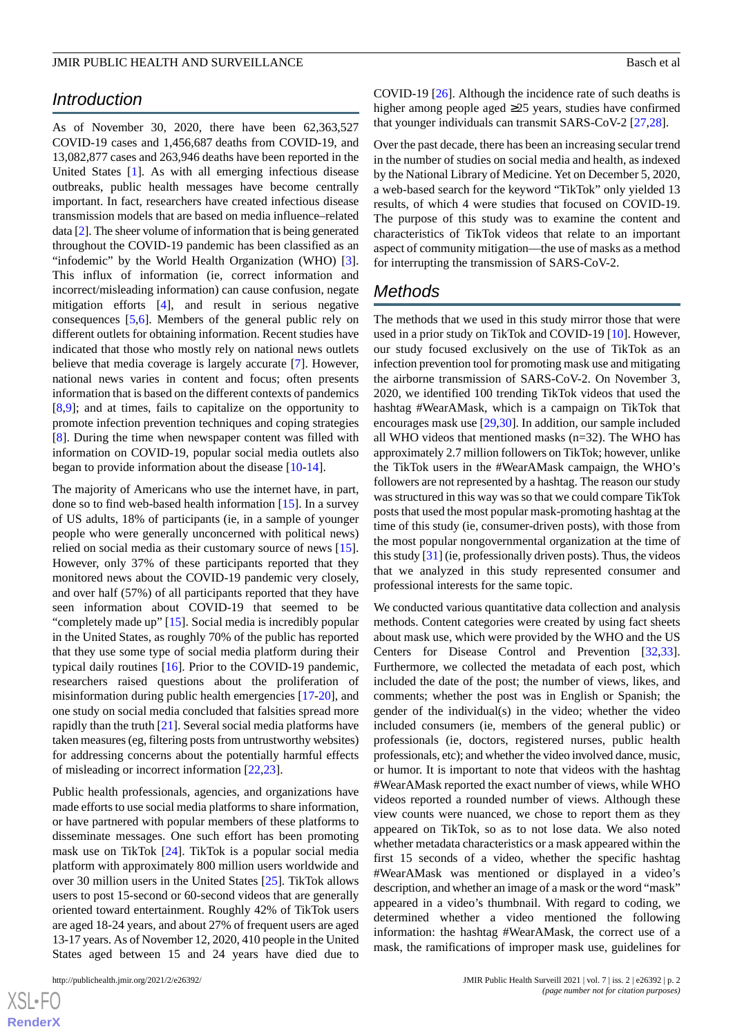#### JMIR PUBLIC HEALTH AND SURVEILLANCE **Basical Superintent and Superintent and Superintent and Superintent and Superintent and Superintent and Superintent and Superintent and Superintent and Superintent and Superintent and S**

# *Introduction*

As of November 30, 2020, there have been 62,363,527 COVID-19 cases and 1,456,687 deaths from COVID-19, and 13,082,877 cases and 263,946 deaths have been reported in the United States [[1\]](#page-4-0). As with all emerging infectious disease outbreaks, public health messages have become centrally important. In fact, researchers have created infectious disease transmission models that are based on media influence–related data [\[2\]](#page-4-1). The sheer volume of information that is being generated throughout the COVID-19 pandemic has been classified as an "infodemic" by the World Health Organization (WHO) [[3\]](#page-4-2). This influx of information (ie, correct information and incorrect/misleading information) can cause confusion, negate mitigation efforts [\[4\]](#page-4-3), and result in serious negative consequences [\[5](#page-4-4),[6\]](#page-4-5). Members of the general public rely on different outlets for obtaining information. Recent studies have indicated that those who mostly rely on national news outlets believe that media coverage is largely accurate [[7](#page-4-6)]. However, national news varies in content and focus; often presents information that is based on the different contexts of pandemics [[8](#page-4-7)[,9](#page-4-8)]; and at times, fails to capitalize on the opportunity to promote infection prevention techniques and coping strategies [[8\]](#page-4-7). During the time when newspaper content was filled with information on COVID-19, popular social media outlets also began to provide information about the disease [[10-](#page-4-9)[14](#page-4-10)].

The majority of Americans who use the internet have, in part, done so to find web-based health information [\[15](#page-5-0)]. In a survey of US adults, 18% of participants (ie, in a sample of younger people who were generally unconcerned with political news) relied on social media as their customary source of news [[15\]](#page-5-0). However, only 37% of these participants reported that they monitored news about the COVID-19 pandemic very closely, and over half (57%) of all participants reported that they have seen information about COVID-19 that seemed to be "completely made up" [\[15](#page-5-0)]. Social media is incredibly popular in the United States, as roughly 70% of the public has reported that they use some type of social media platform during their typical daily routines [\[16](#page-5-1)]. Prior to the COVID-19 pandemic, researchers raised questions about the proliferation of misinformation during public health emergencies [[17-](#page-5-2)[20\]](#page-5-3), and one study on social media concluded that falsities spread more rapidly than the truth [[21\]](#page-5-4). Several social media platforms have taken measures (eg, filtering posts from untrustworthy websites) for addressing concerns about the potentially harmful effects of misleading or incorrect information [[22,](#page-5-5)[23](#page-5-6)].

Public health professionals, agencies, and organizations have made efforts to use social media platforms to share information, or have partnered with popular members of these platforms to disseminate messages. One such effort has been promoting mask use on TikTok [\[24](#page-5-7)]. TikTok is a popular social media platform with approximately 800 million users worldwide and over 30 million users in the United States [[25\]](#page-5-8). TikTok allows users to post 15-second or 60-second videos that are generally oriented toward entertainment. Roughly 42% of TikTok users are aged 18-24 years, and about 27% of frequent users are aged 13-17 years. As of November 12, 2020, 410 people in the United States aged between 15 and 24 years have died due to

COVID-19 [\[26](#page-5-9)]. Although the incidence rate of such deaths is higher among people aged ≥25 years, studies have confirmed that younger individuals can transmit SARS-CoV-2 [\[27](#page-5-10),[28\]](#page-5-11).

Over the past decade, there has been an increasing secular trend in the number of studies on social media and health, as indexed by the National Library of Medicine. Yet on December 5, 2020, a web-based search for the keyword "TikTok" only yielded 13 results, of which 4 were studies that focused on COVID-19. The purpose of this study was to examine the content and characteristics of TikTok videos that relate to an important aspect of community mitigation—the use of masks as a method for interrupting the transmission of SARS-CoV-2.

# *Methods*

The methods that we used in this study mirror those that were used in a prior study on TikTok and COVID-19 [[10\]](#page-4-9). However, our study focused exclusively on the use of TikTok as an infection prevention tool for promoting mask use and mitigating the airborne transmission of SARS-CoV-2. On November 3, 2020, we identified 100 trending TikTok videos that used the hashtag #WearAMask, which is a campaign on TikTok that encourages mask use [\[29](#page-5-12),[30\]](#page-5-13). In addition, our sample included all WHO videos that mentioned masks (n=32). The WHO has approximately 2.7 million followers on TikTok; however, unlike the TikTok users in the #WearAMask campaign, the WHO's followers are not represented by a hashtag. The reason our study was structured in this way was so that we could compare TikTok posts that used the most popular mask-promoting hashtag at the time of this study (ie, consumer-driven posts), with those from the most popular nongovernmental organization at the time of this study [\[31](#page-5-14)] (ie, professionally driven posts). Thus, the videos that we analyzed in this study represented consumer and professional interests for the same topic.

We conducted various quantitative data collection and analysis methods. Content categories were created by using fact sheets about mask use, which were provided by the WHO and the US Centers for Disease Control and Prevention [\[32](#page-5-15),[33\]](#page-5-16). Furthermore, we collected the metadata of each post, which included the date of the post; the number of views, likes, and comments; whether the post was in English or Spanish; the gender of the individual(s) in the video; whether the video included consumers (ie, members of the general public) or professionals (ie, doctors, registered nurses, public health professionals, etc); and whether the video involved dance, music, or humor. It is important to note that videos with the hashtag #WearAMask reported the exact number of views, while WHO videos reported a rounded number of views. Although these view counts were nuanced, we chose to report them as they appeared on TikTok, so as to not lose data. We also noted whether metadata characteristics or a mask appeared within the first 15 seconds of a video, whether the specific hashtag #WearAMask was mentioned or displayed in a video's description, and whether an image of a mask or the word "mask" appeared in a video's thumbnail. With regard to coding, we determined whether a video mentioned the following information: the hashtag #WearAMask, the correct use of a mask, the ramifications of improper mask use, guidelines for

 $XS$ -FO **[RenderX](http://www.renderx.com/)**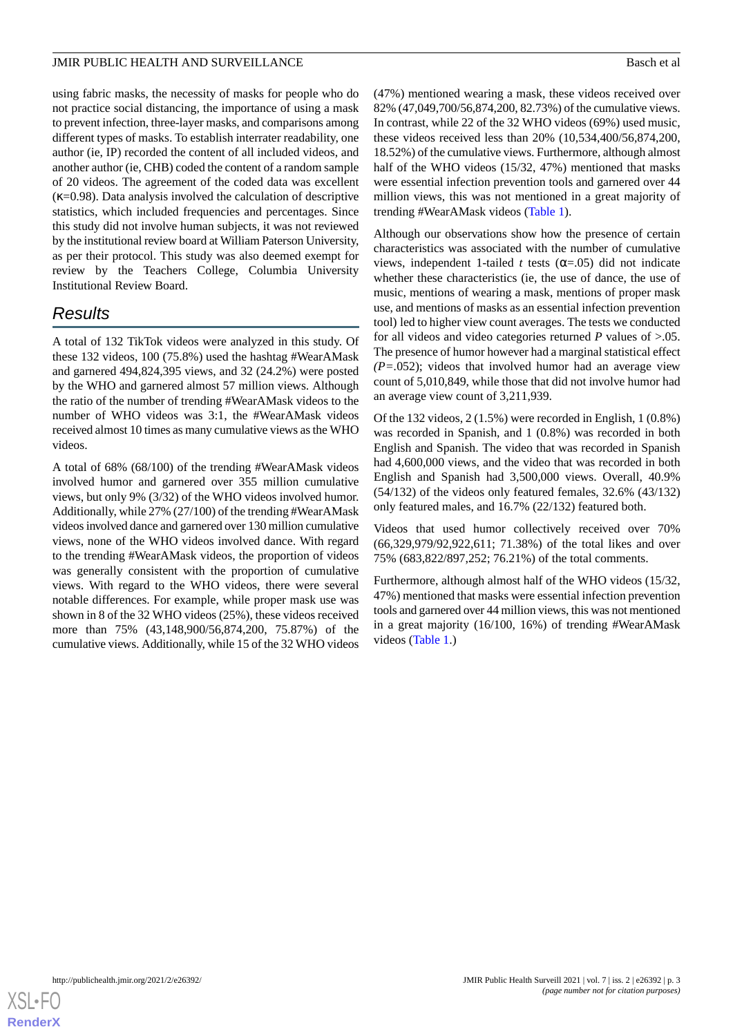### JMIR PUBLIC HEALTH AND SURVEILLANCE **Basical Superintent and Superintent and Superintent and Superintent and Superintent and Superintent and Superintent and Superintent and Superintent and Superintent and Superintent and S**

using fabric masks, the necessity of masks for people who do not practice social distancing, the importance of using a mask to prevent infection, three-layer masks, and comparisons among different types of masks. To establish interrater readability, one author (ie, IP) recorded the content of all included videos, and another author (ie, CHB) coded the content of a random sample of 20 videos. The agreement of the coded data was excellent  $(\kappa=0.98)$ . Data analysis involved the calculation of descriptive statistics, which included frequencies and percentages. Since this study did not involve human subjects, it was not reviewed by the institutional review board at William Paterson University, as per their protocol. This study was also deemed exempt for review by the Teachers College, Columbia University Institutional Review Board.

# *Results*

A total of 132 TikTok videos were analyzed in this study. Of these 132 videos, 100 (75.8%) used the hashtag #WearAMask and garnered 494,824,395 views, and 32 (24.2%) were posted by the WHO and garnered almost 57 million views. Although the ratio of the number of trending #WearAMask videos to the number of WHO videos was 3:1, the #WearAMask videos received almost 10 times as many cumulative views as the WHO videos.

A total of 68% (68/100) of the trending #WearAMask videos involved humor and garnered over 355 million cumulative views, but only 9% (3/32) of the WHO videos involved humor. Additionally, while 27% (27/100) of the trending #WearAMask videos involved dance and garnered over 130 million cumulative views, none of the WHO videos involved dance. With regard to the trending #WearAMask videos, the proportion of videos was generally consistent with the proportion of cumulative views. With regard to the WHO videos, there were several notable differences. For example, while proper mask use was shown in 8 of the 32 WHO videos (25%), these videos received more than 75% (43,148,900/56,874,200, 75.87%) of the cumulative views. Additionally, while 15 of the 32 WHO videos

(47%) mentioned wearing a mask, these videos received over 82% (47,049,700/56,874,200, 82.73%) of the cumulative views. In contrast, while 22 of the 32 WHO videos (69%) used music, these videos received less than 20% (10,534,400/56,874,200, 18.52%) of the cumulative views. Furthermore, although almost half of the WHO videos (15/32, 47%) mentioned that masks were essential infection prevention tools and garnered over 44 million views, this was not mentioned in a great majority of trending #WearAMask videos [\(Table 1\)](#page-3-0).

Although our observations show how the presence of certain characteristics was associated with the number of cumulative views, independent 1-tailed *t* tests ( $\alpha$ =.05) did not indicate whether these characteristics (ie, the use of dance, the use of music, mentions of wearing a mask, mentions of proper mask use, and mentions of masks as an essential infection prevention tool) led to higher view count averages. The tests we conducted for all videos and video categories returned *P* values of >.05. The presence of humor however had a marginal statistical effect *(P=.*052); videos that involved humor had an average view count of 5,010,849, while those that did not involve humor had an average view count of 3,211,939.

Of the 132 videos, 2 (1.5%) were recorded in English, 1 (0.8%) was recorded in Spanish, and 1 (0.8%) was recorded in both English and Spanish. The video that was recorded in Spanish had 4,600,000 views, and the video that was recorded in both English and Spanish had 3,500,000 views. Overall, 40.9% (54/132) of the videos only featured females, 32.6% (43/132) only featured males, and 16.7% (22/132) featured both.

Videos that used humor collectively received over 70% (66,329,979/92,922,611; 71.38%) of the total likes and over 75% (683,822/897,252; 76.21%) of the total comments.

Furthermore, although almost half of the WHO videos (15/32, 47%) mentioned that masks were essential infection prevention tools and garnered over 44 million views, this was not mentioned in a great majority (16/100, 16%) of trending #WearAMask videos ([Table 1](#page-3-0).)

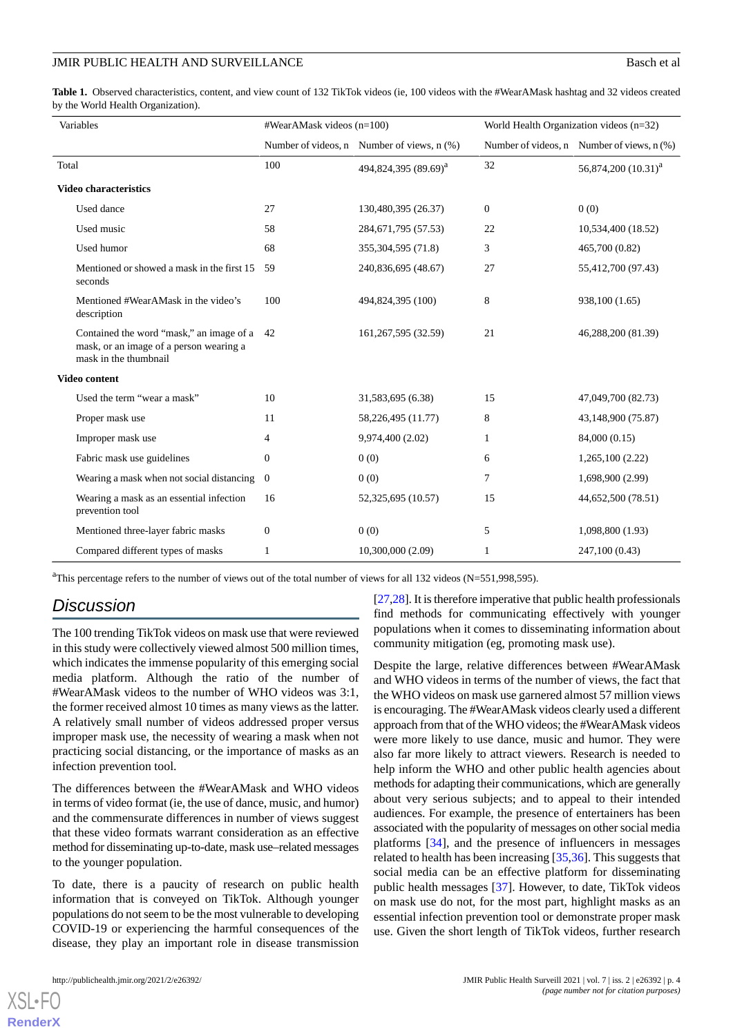### JMIR PUBLIC HEALTH AND SURVEILLANCE **Basch et al.** Basch et al.

<span id="page-3-0"></span>**Table 1.** Observed characteristics, content, and view count of 132 TikTok videos (ie, 100 videos with the #WearAMask hashtag and 32 videos created by the World Health Organization).

| Variables                                                                                                    | #WearAMask videos (n=100) |                                            | World Health Organization videos (n=32) |                                                |
|--------------------------------------------------------------------------------------------------------------|---------------------------|--------------------------------------------|-----------------------------------------|------------------------------------------------|
|                                                                                                              |                           | Number of videos, n Number of views, n (%) |                                         | Number of videos, $n$ Number of views, $n$ (%) |
| Total                                                                                                        | 100                       | 494,824,395 (89.69) <sup>a</sup>           | 32                                      | 56,874,200 (10.31) <sup>a</sup>                |
| <b>Video characteristics</b>                                                                                 |                           |                                            |                                         |                                                |
| Used dance                                                                                                   | 27                        | 130,480,395 (26.37)                        | $\boldsymbol{0}$                        | 0(0)                                           |
| Used music                                                                                                   | 58                        | 284, 671, 795 (57.53)                      | 22                                      | 10,534,400 (18.52)                             |
| Used humor                                                                                                   | 68                        | 355, 304, 595 (71.8)                       | 3                                       | 465,700 (0.82)                                 |
| Mentioned or showed a mask in the first 15<br>seconds                                                        | 59                        | 240,836,695 (48.67)                        | 27                                      | 55,412,700 (97.43)                             |
| Mentioned #WearAMask in the video's<br>description                                                           | 100                       | 494,824,395 (100)                          | 8                                       | 938,100 (1.65)                                 |
| Contained the word "mask," an image of a<br>mask, or an image of a person wearing a<br>mask in the thumbnail | 42                        | 161, 267, 595 (32.59)                      | 21                                      | 46,288,200 (81.39)                             |
| <b>Video content</b>                                                                                         |                           |                                            |                                         |                                                |
| Used the term "wear a mask"                                                                                  | 10                        | 31,583,695 (6.38)                          | 15                                      | 47,049,700 (82.73)                             |
| Proper mask use                                                                                              | 11                        | 58,226,495 (11.77)                         | 8                                       | 43,148,900 (75.87)                             |
| Improper mask use                                                                                            | 4                         | 9,974,400 (2.02)                           | 1                                       | 84,000 (0.15)                                  |
| Fabric mask use guidelines                                                                                   | $\mathbf{0}$              | 0(0)                                       | 6                                       | 1,265,100(2.22)                                |
| Wearing a mask when not social distancing                                                                    | $\theta$                  | 0(0)                                       | 7                                       | 1,698,900 (2.99)                               |
| Wearing a mask as an essential infection<br>prevention tool                                                  | 16                        | 52,325,695 (10.57)                         | 15                                      | 44,652,500 (78.51)                             |
| Mentioned three-layer fabric masks                                                                           | $\mathbf{0}$              | 0(0)                                       | 5                                       | 1,098,800 (1.93)                               |
| Compared different types of masks                                                                            | 1                         | 10,300,000 (2.09)                          | 1                                       | 247,100 (0.43)                                 |

<sup>a</sup>This percentage refers to the number of views out of the total number of views for all 132 videos (N=551,998,595).

# *Discussion*

The 100 trending TikTok videos on mask use that were reviewed in this study were collectively viewed almost 500 million times, which indicates the immense popularity of this emerging social media platform. Although the ratio of the number of #WearAMask videos to the number of WHO videos was 3:1, the former received almost 10 times as many views as the latter. A relatively small number of videos addressed proper versus improper mask use, the necessity of wearing a mask when not practicing social distancing, or the importance of masks as an infection prevention tool.

The differences between the #WearAMask and WHO videos in terms of video format (ie, the use of dance, music, and humor) and the commensurate differences in number of views suggest that these video formats warrant consideration as an effective method for disseminating up-to-date, mask use–related messages to the younger population.

To date, there is a paucity of research on public health information that is conveyed on TikTok. Although younger populations do not seem to be the most vulnerable to developing COVID-19 or experiencing the harmful consequences of the disease, they play an important role in disease transmission

[XSL](http://www.w3.org/Style/XSL)•FO **[RenderX](http://www.renderx.com/)**

[[27,](#page-5-10)[28\]](#page-5-11). It is therefore imperative that public health professionals find methods for communicating effectively with younger populations when it comes to disseminating information about community mitigation (eg, promoting mask use).

Despite the large, relative differences between #WearAMask and WHO videos in terms of the number of views, the fact that the WHO videos on mask use garnered almost 57 million views is encouraging. The #WearAMask videos clearly used a different approach from that of the WHO videos; the #WearAMask videos were more likely to use dance, music and humor. They were also far more likely to attract viewers. Research is needed to help inform the WHO and other public health agencies about methods for adapting their communications, which are generally about very serious subjects; and to appeal to their intended audiences. For example, the presence of entertainers has been associated with the popularity of messages on other social media platforms [\[34](#page-5-17)], and the presence of influencers in messages related to health has been increasing [[35,](#page-5-18)[36](#page-5-19)]. This suggests that social media can be an effective platform for disseminating public health messages [[37\]](#page-5-20). However, to date, TikTok videos on mask use do not, for the most part, highlight masks as an essential infection prevention tool or demonstrate proper mask use. Given the short length of TikTok videos, further research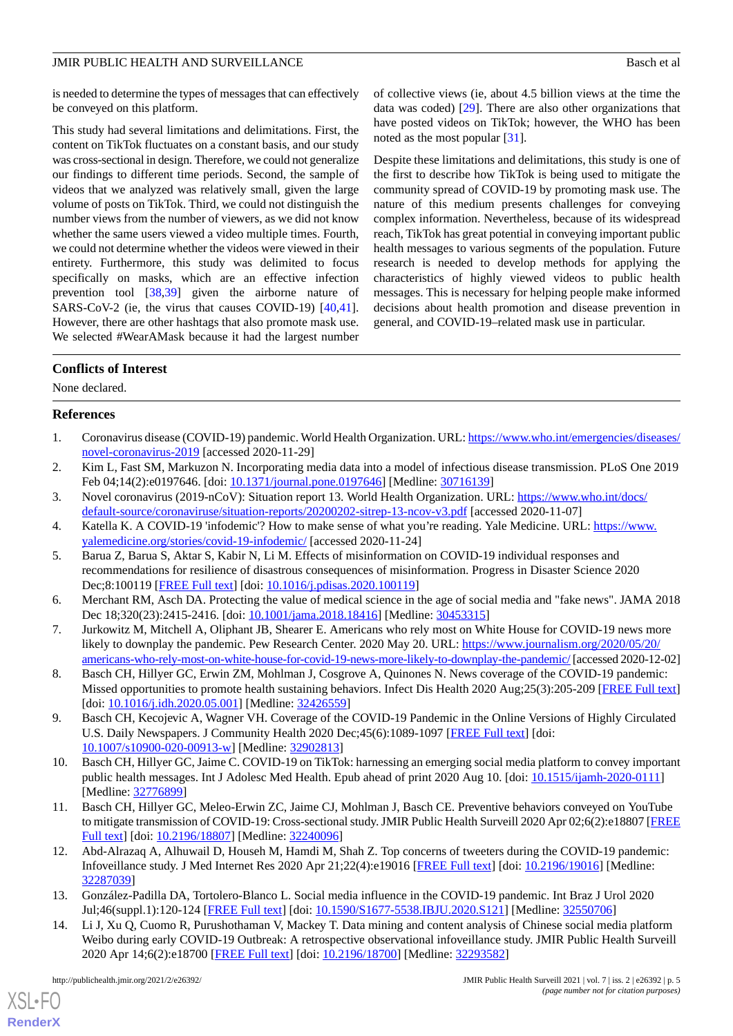### JMIR PUBLIC HEALTH AND SURVEILLANCE **Basis** Basch et al.

is needed to determine the types of messages that can effectively be conveyed on this platform.

This study had several limitations and delimitations. First, the content on TikTok fluctuates on a constant basis, and our study was cross-sectional in design. Therefore, we could not generalize our findings to different time periods. Second, the sample of videos that we analyzed was relatively small, given the large volume of posts on TikTok. Third, we could not distinguish the number views from the number of viewers, as we did not know whether the same users viewed a video multiple times. Fourth, we could not determine whether the videos were viewed in their entirety. Furthermore, this study was delimited to focus specifically on masks, which are an effective infection prevention tool [\[38](#page-5-21),[39\]](#page-6-0) given the airborne nature of SARS-CoV-2 (ie, the virus that causes COVID-19) [\[40](#page-6-1),[41\]](#page-6-2). However, there are other hashtags that also promote mask use. We selected #WearAMask because it had the largest number

of collective views (ie, about 4.5 billion views at the time the data was coded) [\[29](#page-5-12)]. There are also other organizations that have posted videos on TikTok; however, the WHO has been noted as the most popular [\[31](#page-5-14)].

Despite these limitations and delimitations, this study is one of the first to describe how TikTok is being used to mitigate the community spread of COVID-19 by promoting mask use. The nature of this medium presents challenges for conveying complex information. Nevertheless, because of its widespread reach, TikTok has great potential in conveying important public health messages to various segments of the population. Future research is needed to develop methods for applying the characteristics of highly viewed videos to public health messages. This is necessary for helping people make informed decisions about health promotion and disease prevention in general, and COVID-19–related mask use in particular.

## **Conflicts of Interest**

<span id="page-4-0"></span>None declared.

### <span id="page-4-1"></span>**References**

- <span id="page-4-2"></span>1. Coronavirus disease (COVID-19) pandemic. World Health Organization. URL: [https://www.who.int/emergencies/diseases/](https://www.who.int/emergencies/diseases/novel-coronavirus-2019) [novel-coronavirus-2019](https://www.who.int/emergencies/diseases/novel-coronavirus-2019) [accessed 2020-11-29]
- <span id="page-4-3"></span>2. Kim L, Fast SM, Markuzon N. Incorporating media data into a model of infectious disease transmission. PLoS One 2019 Feb 04;14(2):e0197646. [doi: [10.1371/journal.pone.0197646](http://dx.doi.org/10.1371/journal.pone.0197646)] [Medline: [30716139\]](http://www.ncbi.nlm.nih.gov/entrez/query.fcgi?cmd=Retrieve&db=PubMed&list_uids=30716139&dopt=Abstract)
- <span id="page-4-4"></span>3. Novel coronavirus (2019-nCoV): Situation report 13. World Health Organization. URL: [https://www.who.int/docs/](https://www.who.int/docs/default-source/coronaviruse/situation-reports/20200202-sitrep-13-ncov-v3.pdf) [default-source/coronaviruse/situation-reports/20200202-sitrep-13-ncov-v3.pdf](https://www.who.int/docs/default-source/coronaviruse/situation-reports/20200202-sitrep-13-ncov-v3.pdf) [accessed 2020-11-07]
- <span id="page-4-5"></span>4. Katella K. A COVID-19 'infodemic'? How to make sense of what you're reading. Yale Medicine. URL: [https://www.](https://www.yalemedicine.org/stories/covid-19-infodemic/) [yalemedicine.org/stories/covid-19-infodemic/](https://www.yalemedicine.org/stories/covid-19-infodemic/) [accessed 2020-11-24]
- <span id="page-4-6"></span>5. Barua Z, Barua S, Aktar S, Kabir N, Li M. Effects of misinformation on COVID-19 individual responses and recommendations for resilience of disastrous consequences of misinformation. Progress in Disaster Science 2020 Dec;8:100119 [\[FREE Full text](https://www.sciencedirect.com/science/article/pii/S2590061720300569?via%3Dihub)] [doi: [10.1016/j.pdisas.2020.100119](http://dx.doi.org/10.1016/j.pdisas.2020.100119)]
- <span id="page-4-7"></span>6. Merchant RM, Asch DA. Protecting the value of medical science in the age of social media and "fake news". JAMA 2018 Dec 18;320(23):2415-2416. [doi: [10.1001/jama.2018.18416\]](http://dx.doi.org/10.1001/jama.2018.18416) [Medline: [30453315](http://www.ncbi.nlm.nih.gov/entrez/query.fcgi?cmd=Retrieve&db=PubMed&list_uids=30453315&dopt=Abstract)]
- <span id="page-4-8"></span>7. Jurkowitz M, Mitchell A, Oliphant JB, Shearer E. Americans who rely most on White House for COVID-19 news more likely to downplay the pandemic. Pew Research Center. 2020 May 20. URL: [https://www.journalism.org/2020/05/20/](https://www.journalism.org/2020/05/20/americans-who-rely-most-on-white-house-for-covid-19-news-more-likely-to-downplay-the-pandemic/) [americans-who-rely-most-on-white-house-for-covid-19-news-more-likely-to-downplay-the-pandemic/](https://www.journalism.org/2020/05/20/americans-who-rely-most-on-white-house-for-covid-19-news-more-likely-to-downplay-the-pandemic/) [accessed 2020-12-02]
- <span id="page-4-9"></span>8. Basch CH, Hillyer GC, Erwin ZM, Mohlman J, Cosgrove A, Quinones N. News coverage of the COVID-19 pandemic: Missed opportunities to promote health sustaining behaviors. Infect Dis Health 2020 Aug;25(3):205-209 [\[FREE Full text](http://europepmc.org/abstract/MED/32426559)] [doi: [10.1016/j.idh.2020.05.001\]](http://dx.doi.org/10.1016/j.idh.2020.05.001) [Medline: [32426559\]](http://www.ncbi.nlm.nih.gov/entrez/query.fcgi?cmd=Retrieve&db=PubMed&list_uids=32426559&dopt=Abstract)
- 9. Basch CH, Kecojevic A, Wagner VH. Coverage of the COVID-19 Pandemic in the Online Versions of Highly Circulated U.S. Daily Newspapers. J Community Health 2020 Dec; 45(6): 1089-1097 [[FREE Full text](http://europepmc.org/abstract/MED/32902813)] [doi: [10.1007/s10900-020-00913-w\]](http://dx.doi.org/10.1007/s10900-020-00913-w) [Medline: [32902813\]](http://www.ncbi.nlm.nih.gov/entrez/query.fcgi?cmd=Retrieve&db=PubMed&list_uids=32902813&dopt=Abstract)
- 10. Basch CH, Hillyer GC, Jaime C. COVID-19 on TikTok: harnessing an emerging social media platform to convey important public health messages. Int J Adolesc Med Health. Epub ahead of print 2020 Aug 10. [doi: [10.1515/ijamh-2020-0111](http://dx.doi.org/10.1515/ijamh-2020-0111)] [Medline: [32776899](http://www.ncbi.nlm.nih.gov/entrez/query.fcgi?cmd=Retrieve&db=PubMed&list_uids=32776899&dopt=Abstract)]
- 11. Basch CH, Hillyer GC, Meleo-Erwin ZC, Jaime CJ, Mohlman J, Basch CE. Preventive behaviors conveyed on YouTube to mitigate transmission of COVID-19: Cross-sectional study. JMIR Public Health Surveill 2020 Apr 02;6(2):e18807 [\[FREE](https://publichealth.jmir.org/2020/2/e18807/) [Full text\]](https://publichealth.jmir.org/2020/2/e18807/) [doi: [10.2196/18807\]](http://dx.doi.org/10.2196/18807) [Medline: [32240096](http://www.ncbi.nlm.nih.gov/entrez/query.fcgi?cmd=Retrieve&db=PubMed&list_uids=32240096&dopt=Abstract)]
- <span id="page-4-10"></span>12. Abd-Alrazaq A, Alhuwail D, Househ M, Hamdi M, Shah Z. Top concerns of tweeters during the COVID-19 pandemic: Infoveillance study. J Med Internet Res 2020 Apr 21;22(4):e19016 [[FREE Full text](https://www.jmir.org/2020/4/e19016/)] [doi: [10.2196/19016\]](http://dx.doi.org/10.2196/19016) [Medline: [32287039](http://www.ncbi.nlm.nih.gov/entrez/query.fcgi?cmd=Retrieve&db=PubMed&list_uids=32287039&dopt=Abstract)]
- 13. González-Padilla DA, Tortolero-Blanco L. Social media influence in the COVID-19 pandemic. Int Braz J Urol 2020 Jul;46(suppl.1):120-124 [[FREE Full text](https://www.intbrazjurol.com.br/pdf/vol46S1/IBJU2020S121.pdf)] [doi: [10.1590/S1677-5538.IBJU.2020.S121\]](http://dx.doi.org/10.1590/S1677-5538.IBJU.2020.S121) [Medline: [32550706\]](http://www.ncbi.nlm.nih.gov/entrez/query.fcgi?cmd=Retrieve&db=PubMed&list_uids=32550706&dopt=Abstract)
- 14. Li J, Xu Q, Cuomo R, Purushothaman V, Mackey T. Data mining and content analysis of Chinese social media platform Weibo during early COVID-19 Outbreak: A retrospective observational infoveillance study. JMIR Public Health Surveill 2020 Apr 14;6(2):e18700 [[FREE Full text\]](http://publichealth.jmir.org/2015/2/e7/) [doi: [10.2196/18700](http://dx.doi.org/10.2196/18700)] [Medline: [32293582](http://www.ncbi.nlm.nih.gov/entrez/query.fcgi?cmd=Retrieve&db=PubMed&list_uids=32293582&dopt=Abstract)]

[XSL](http://www.w3.org/Style/XSL)•FO **[RenderX](http://www.renderx.com/)**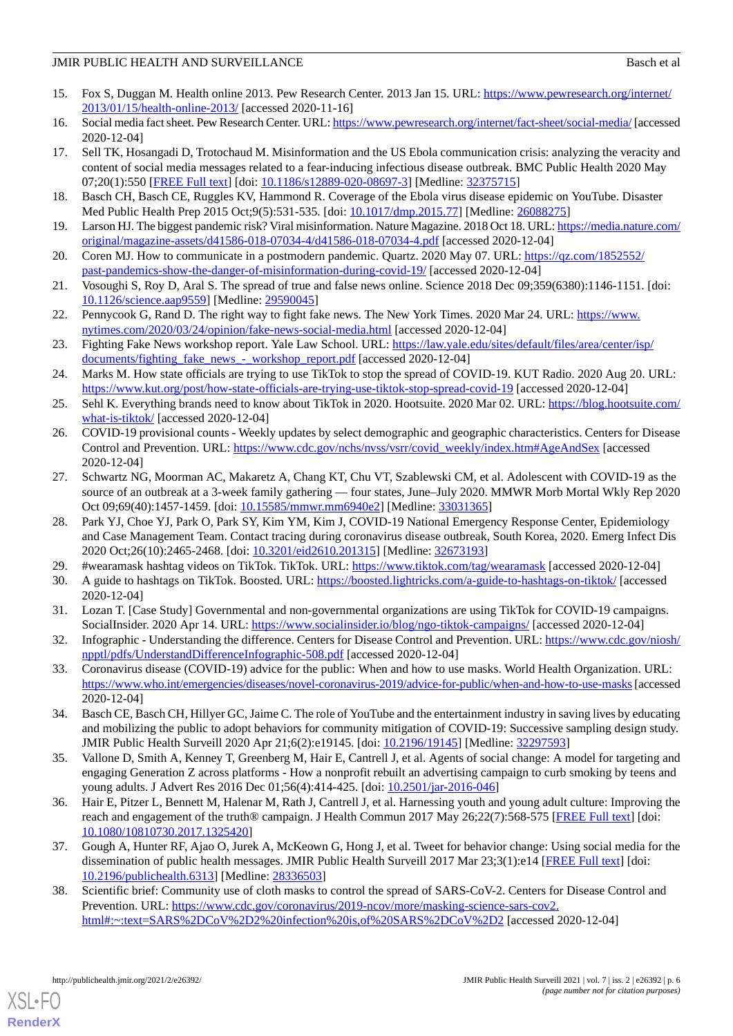### JMIR PUBLIC HEALTH AND SURVEILLANCE **Basis** Basch et al.

- <span id="page-5-0"></span>15. Fox S, Duggan M. Health online 2013. Pew Research Center. 2013 Jan 15. URL: [https://www.pewresearch.org/internet/](https://www.pewresearch.org/internet/2013/01/15/health-online-2013/) [2013/01/15/health-online-2013/](https://www.pewresearch.org/internet/2013/01/15/health-online-2013/) [accessed 2020-11-16]
- <span id="page-5-2"></span><span id="page-5-1"></span>16. Social media fact sheet. Pew Research Center. URL:<https://www.pewresearch.org/internet/fact-sheet/social-media/> [accessed] 2020-12-04]
- 17. Sell TK, Hosangadi D, Trotochaud M. Misinformation and the US Ebola communication crisis: analyzing the veracity and content of social media messages related to a fear-inducing infectious disease outbreak. BMC Public Health 2020 May 07;20(1):550 [[FREE Full text\]](https://bmcpublichealth.biomedcentral.com/articles/10.1186/s12889-020-08697-3) [doi: [10.1186/s12889-020-08697-3](http://dx.doi.org/10.1186/s12889-020-08697-3)] [Medline: [32375715](http://www.ncbi.nlm.nih.gov/entrez/query.fcgi?cmd=Retrieve&db=PubMed&list_uids=32375715&dopt=Abstract)]
- 18. Basch CH, Basch CE, Ruggles KV, Hammond R. Coverage of the Ebola virus disease epidemic on YouTube. Disaster Med Public Health Prep 2015 Oct;9(5):531-535. [doi: [10.1017/dmp.2015.77](http://dx.doi.org/10.1017/dmp.2015.77)] [Medline: [26088275](http://www.ncbi.nlm.nih.gov/entrez/query.fcgi?cmd=Retrieve&db=PubMed&list_uids=26088275&dopt=Abstract)]
- <span id="page-5-3"></span>19. Larson HJ. The biggest pandemic risk? Viral misinformation. Nature Magazine. 2018 Oct 18. URL: [https://media.nature.com/](https://media.nature.com/original/magazine-assets/d41586-018-07034-4/d41586-018-07034-4.pdf) [original/magazine-assets/d41586-018-07034-4/d41586-018-07034-4.pdf](https://media.nature.com/original/magazine-assets/d41586-018-07034-4/d41586-018-07034-4.pdf) [accessed 2020-12-04]
- <span id="page-5-4"></span>20. Coren MJ. How to communicate in a postmodern pandemic. Quartz. 2020 May 07. URL: [https://qz.com/1852552/](https://qz.com/1852552/past-pandemics-show-the-danger-of-misinformation-during-covid-19/) [past-pandemics-show-the-danger-of-misinformation-during-covid-19/](https://qz.com/1852552/past-pandemics-show-the-danger-of-misinformation-during-covid-19/) [accessed 2020-12-04]
- <span id="page-5-5"></span>21. Vosoughi S, Roy D, Aral S. The spread of true and false news online. Science 2018 Dec 09;359(6380):1146-1151. [doi: [10.1126/science.aap9559\]](http://dx.doi.org/10.1126/science.aap9559) [Medline: [29590045](http://www.ncbi.nlm.nih.gov/entrez/query.fcgi?cmd=Retrieve&db=PubMed&list_uids=29590045&dopt=Abstract)]
- <span id="page-5-6"></span>22. Pennycook G, Rand D. The right way to fight fake news. The New York Times. 2020 Mar 24. URL: [https://www.](https://www.nytimes.com/2020/03/24/opinion/fake-news-social-media.html) [nytimes.com/2020/03/24/opinion/fake-news-social-media.html](https://www.nytimes.com/2020/03/24/opinion/fake-news-social-media.html) [accessed 2020-12-04]
- <span id="page-5-7"></span>23. Fighting Fake News workshop report. Yale Law School. URL: [https://law.yale.edu/sites/default/files/area/center/isp/](https://law.yale.edu/sites/default/files/area/center/isp/documents/fighting_fake_news_-_workshop_report.pdf) [documents/fighting\\_fake\\_news\\_-\\_workshop\\_report.pdf](https://law.yale.edu/sites/default/files/area/center/isp/documents/fighting_fake_news_-_workshop_report.pdf) [accessed 2020-12-04]
- <span id="page-5-8"></span>24. Marks M. How state officials are trying to use TikTok to stop the spread of COVID-19. KUT Radio. 2020 Aug 20. URL: <https://www.kut.org/post/how-state-officials-are-trying-use-tiktok-stop-spread-covid-19> [accessed 2020-12-04]
- <span id="page-5-9"></span>25. Sehl K. Everything brands need to know about TikTok in 2020. Hootsuite. 2020 Mar 02. URL: [https://blog.hootsuite.com/](https://blog.hootsuite.com/what-is-tiktok/) [what-is-tiktok/](https://blog.hootsuite.com/what-is-tiktok/) [accessed 2020-12-04]
- <span id="page-5-10"></span>26. COVID-19 provisional counts - Weekly updates by select demographic and geographic characteristics. Centers for Disease Control and Prevention. URL: [https://www.cdc.gov/nchs/nvss/vsrr/covid\\_weekly/index.htm#AgeAndSex](https://www.cdc.gov/nchs/nvss/vsrr/covid_weekly/index.htm#AgeAndSex) [accessed] 2020-12-04]
- <span id="page-5-11"></span>27. Schwartz NG, Moorman AC, Makaretz A, Chang KT, Chu VT, Szablewski CM, et al. Adolescent with COVID-19 as the source of an outbreak at a 3-week family gathering — four states, June–July 2020. MMWR Morb Mortal Wkly Rep 2020 Oct 09;69(40):1457-1459. [doi: [10.15585/mmwr.mm6940e2\]](http://dx.doi.org/10.15585/mmwr.mm6940e2) [Medline: [33031365](http://www.ncbi.nlm.nih.gov/entrez/query.fcgi?cmd=Retrieve&db=PubMed&list_uids=33031365&dopt=Abstract)]
- <span id="page-5-13"></span><span id="page-5-12"></span>28. Park YJ, Choe YJ, Park O, Park SY, Kim YM, Kim J, COVID-19 National Emergency Response Center, Epidemiology and Case Management Team. Contact tracing during coronavirus disease outbreak, South Korea, 2020. Emerg Infect Dis 2020 Oct;26(10):2465-2468. [doi: [10.3201/eid2610.201315](http://dx.doi.org/10.3201/eid2610.201315)] [Medline: [32673193](http://www.ncbi.nlm.nih.gov/entrez/query.fcgi?cmd=Retrieve&db=PubMed&list_uids=32673193&dopt=Abstract)]
- <span id="page-5-14"></span>29. #wearamask hashtag videos on TikTok. TikTok. URL:<https://www.tiktok.com/tag/wearamask> [accessed 2020-12-04]
- <span id="page-5-15"></span>30. A guide to hashtags on TikTok. Boosted. URL: <https://boosted.lightricks.com/a-guide-to-hashtags-on-tiktok/> [accessed 2020-12-04]
- <span id="page-5-16"></span>31. Lozan T. [Case Study] Governmental and non-governmental organizations are using TikTok for COVID-19 campaigns. SocialInsider. 2020 Apr 14. URL: <https://www.socialinsider.io/blog/ngo-tiktok-campaigns/> [accessed 2020-12-04]
- <span id="page-5-17"></span>32. Infographic - Understanding the difference. Centers for Disease Control and Prevention. URL: [https://www.cdc.gov/niosh/](https://www.cdc.gov/niosh/npptl/pdfs/UnderstandDifferenceInfographic-508.pdf) [npptl/pdfs/UnderstandDifferenceInfographic-508.pdf](https://www.cdc.gov/niosh/npptl/pdfs/UnderstandDifferenceInfographic-508.pdf) [accessed 2020-12-04]
- <span id="page-5-18"></span>33. Coronavirus disease (COVID-19) advice for the public: When and how to use masks. World Health Organization. URL: <https://www.who.int/emergencies/diseases/novel-coronavirus-2019/advice-for-public/when-and-how-to-use-masks>[accessed 2020-12-04]
- <span id="page-5-19"></span>34. Basch CE, Basch CH, Hillyer GC, Jaime C. The role of YouTube and the entertainment industry in saving lives by educating and mobilizing the public to adopt behaviors for community mitigation of COVID-19: Successive sampling design study. JMIR Public Health Surveill 2020 Apr 21;6(2):e19145. [doi: [10.2196/19145\]](http://dx.doi.org/10.2196/19145) [Medline: [32297593\]](http://www.ncbi.nlm.nih.gov/entrez/query.fcgi?cmd=Retrieve&db=PubMed&list_uids=32297593&dopt=Abstract)
- <span id="page-5-20"></span>35. Vallone D, Smith A, Kenney T, Greenberg M, Hair E, Cantrell J, et al. Agents of social change: A model for targeting and engaging Generation Z across platforms - How a nonprofit rebuilt an advertising campaign to curb smoking by teens and young adults. J Advert Res 2016 Dec 01;56(4):414-425. [doi: [10.2501/jar-2016-046](http://dx.doi.org/10.2501/jar-2016-046)]
- <span id="page-5-21"></span>36. Hair E, Pitzer L, Bennett M, Halenar M, Rath J, Cantrell J, et al. Harnessing youth and young adult culture: Improving the reach and engagement of the truth® campaign. J Health Commun 2017 May 26;22(7):568-575 [[FREE Full text](https://doi.org/10.1080/10810730.2017.1325420)] [doi: [10.1080/10810730.2017.1325420\]](http://dx.doi.org/10.1080/10810730.2017.1325420)
- 37. Gough A, Hunter RF, Ajao O, Jurek A, McKeown G, Hong J, et al. Tweet for behavior change: Using social media for the dissemination of public health messages. JMIR Public Health Surveill 2017 Mar 23;3(1):e14 [\[FREE Full text\]](http://publichealth.jmir.org/2017/1/e14/) [doi: [10.2196/publichealth.6313\]](http://dx.doi.org/10.2196/publichealth.6313) [Medline: [28336503\]](http://www.ncbi.nlm.nih.gov/entrez/query.fcgi?cmd=Retrieve&db=PubMed&list_uids=28336503&dopt=Abstract)
- 38. Scientific brief: Community use of cloth masks to control the spread of SARS-CoV-2. Centers for Disease Control and Prevention. URL: [https://www.cdc.gov/coronavirus/2019-ncov/more/masking-science-sars-cov2.](https://www.cdc.gov/coronavirus/2019-ncov/more/masking-science-sars-cov2.html#:~:text=SARS%2DCoV%2D2%20infection%20is,of%20SARS%2DCoV%2D2) [html#:~:text=SARS%2DCoV%2D2%20infection%20is,of%20SARS%2DCoV%2D2](https://www.cdc.gov/coronavirus/2019-ncov/more/masking-science-sars-cov2.html#:~:text=SARS%2DCoV%2D2%20infection%20is,of%20SARS%2DCoV%2D2) [accessed 2020-12-04]

[XSL](http://www.w3.org/Style/XSL)•FO **[RenderX](http://www.renderx.com/)**